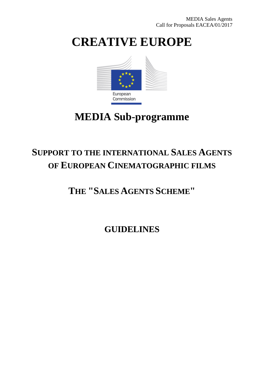# **CREATIVE EUROPE**



## **MEDIA Sub-programme**

## **SUPPORT TO THE INTERNATIONAL SALES AGENTS OF EUROPEAN CINEMATOGRAPHIC FILMS**

**THE "SALES AGENTS SCHEME"**

**GUIDELINES**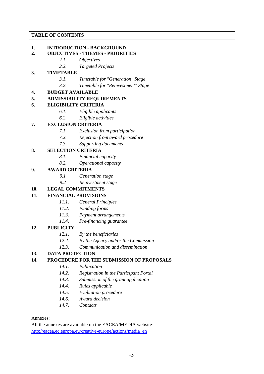## **TABLE OF CONTENTS**

## **1. INTRODUCTION - BACKGROUND**

## **2. OBJECTIVES - THEMES - PRIORITIES**

- *2.1. Objectives*
	- *2.2. Targeted Projects*

## **3. TIMETABLE**

- *3.1. Timetable for "Generation" Stage*
- *3.2. Timetable for "Reinvestment" Stage*

## **4. BUDGET AVAILABLE**

#### **5. ADMISSIBILITY REQUIREMENTS**

#### **6. ELIGIBILITY CRITERIA**

- *6.1. Eligible applicants*
- *6.2. Eligible activities*

## **7. EXCLUSION CRITERIA**

- *7.1. Exclusion from participation*
- *7.2. Rejection from award procedure*
- *7.3. Supporting documents*

## **8. SELECTION CRITERIA**

- *8.1. Financial capacity*
- *8.2. Operational capacity*

#### **9. AWARD CRITERIA**

- *9.1 Generation stage*
- *9.2 Reinvestment stage*

## **10. LEGAL COMMITMENTS**

## **11. FINANCIAL PROVISIONS**

- *11.1. General Principles*
- *11.2. Funding forms*
- *11.3. Payment arrangements*
- *11.4. Pre-financing guarantee*

#### **12. PUBLICITY**

- *12.1. By the beneficiaries*
- *12.2. By the Agency and/or the Commission*
- *12.3. Communication and dissemination*

#### **13. DATA PROTECTION**

## **14. PROCEDURE FOR THE SUBMISSION OF PROPOSALS**

- *14.1. Publication*
- *14.2. Registration in the Participant Portal*
- *14.3. Submission of the grant application*
- *14.4. Rules applicable*
- *14.5. Evaluation procedure*
- *14.6. Award decision*
- *14.7. Contacts*

#### Annexes:

All the annexes are available on the EACEA/MEDIA website: [http://eacea.ec.europa.eu/creative-europe/actions/media\\_en](http://eacea.ec.europa.eu/creative-europe/actions/media_en)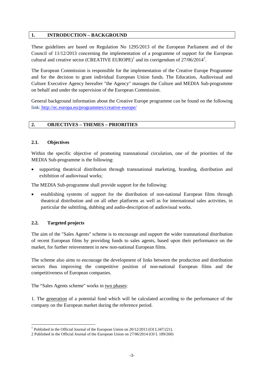#### **1. INTRODUCTION – BACKGROUND**

These guidelines are based on Regulation No 1295/2013 of the European Parliament and of the Council of 11/12/2013 concerning the implementation of a programme of support for the European cultural and creative sector (CREATIVE EUROPE)<sup>[1](#page-2-0)</sup> and its corrigendum of  $27/06/2014^2$  $27/06/2014^2$ .

The European Commission is responsible for the implementation of the Creative Europe Programme and for the decision to grant individual European Union funds. The Education, Audiovisual and Culture Executive Agency hereafter "the Agency" manages the Culture and MEDIA Sub-programme on behalf and under the supervision of the European Commission.

General background information about the Creative Europe programme can be found on the following link: <http://ec.europa.eu/programmes/creative-europe/>

## **2. OBJECTIVES – THEMES – PRIORITIES**

## **2.1. Objectives**

Within the specific objective of promoting transnational circulation, one of the priorities of the MEDIA Sub-programme is the following:

• supporting theatrical distribution through transnational marketing, branding, distribution and exhibition of audiovisual works;

The MEDIA Sub-programme shall provide support for the following:

• establishing systems of support for the distribution of non-national European films through theatrical distribution and on all other platforms as well as for international sales activities, in particular the subtitling, dubbing and audio-description of audiovisual works.

## **2.2. Targeted projects**

The aim of the "Sales Agents" scheme is to encourage and support the wider transnational distribution of recent European films by providing funds to sales agents, based upon their performance on the market, for further reinvestment in new non-national European films.

The scheme also aims to encourage the development of links between the production and distribution sectors thus improving the competitive position of non-national European films and the competitiveness of European companies.

The "Sales Agents scheme" works in two phases:

1. The generation of a potential fund which will be calculated according to the performance of the company on the European market during the reference period.

<span id="page-2-0"></span><sup>&</sup>lt;sup>1</sup> Published in the Official Journal of the European Union on  $20/12/2013$  (OJ L347/221).

<span id="page-2-1"></span><sup>2</sup> Published in the Official Journal of the European Union on 27/06/2014 (OJ L 189/260)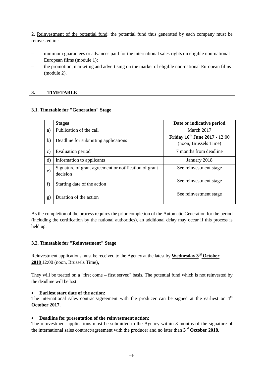2. Reinvestment of the potential fund: the potential fund thus generated by each company must be reinvested in :

- minimum guarantees or advances paid for the international sales rights on eligible non-national European films (module 1);
- the promotion, marketing and advertising on the market of eligible non-national European films (module 2).

#### **3. TIMETABLE**

#### **3.1. Timetable for "Generation" Stage**

|               | <b>Stages</b>                                                     | Date or indicative period                                     |
|---------------|-------------------------------------------------------------------|---------------------------------------------------------------|
| a)            | Publication of the call                                           | March 2017                                                    |
| b)            | Deadline for submitting applications                              | <b>Friday 16th June 2017 - 12:00</b><br>(noon, Brussels Time) |
| $\mathbf{c})$ | Evaluation period                                                 | 7 months from deadline                                        |
| $\mathbf{d}$  | Information to applicants                                         | January 2018                                                  |
| e)            | Signature of grant agreement or notification of grant<br>decision | See reinvestment stage                                        |
| f             | Starting date of the action                                       | See reinvestment stage                                        |
| $\bf g)$      | Duration of the action                                            | See reinvestment stage                                        |

As the completion of the process requires the prior completion of the Automatic Generation for the period (including the certification by the national authorities), an additional delay may occur if this process is held up.

#### **3.2. Timetable for "Reinvestment" Stage**

Reinvestment applications must be received to the Agency at the latest by **Wednesday 3rd October 2018** 12:00 (noon, Brussels Time)**.**

They will be treated on a "first come – first served" basis. The potential fund which is not reinvested by the deadline will be lost.

#### • **Earliest start date of the action:**

The international sales contract/agreement with the producer can be signed at the earliest on **1st October 2017**.

#### • **Deadline for presentation of the reinvestment action:**

The reinvestment applications must be submitted to the Agency within 3 months of the signature of the international sales contract/agreement with the producer and no later than **3rd October 2018.**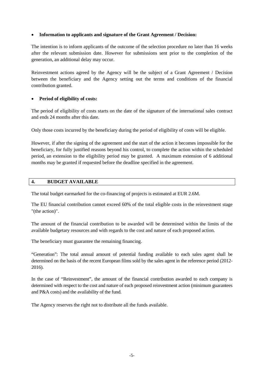## • **Information to applicants and signature of the Grant Agreement / Decision:**

The intention is to inform applicants of the outcome of the selection procedure no later than 16 weeks after the relevant submission date. However for submissions sent prior to the completion of the generation, an additional delay may occur.

Reinvestment actions agreed by the Agency will be the subject of a Grant Agreement / Decision between the beneficiary and the Agency setting out the terms and conditions of the financial contribution granted.

#### • **Period of eligibility of costs:**

The period of eligibility of costs starts on the date of the signature of the international sales contract and ends 24 months after this date.

Only those costs incurred by the beneficiary during the period of eligibility of costs will be eligible.

However, if after the signing of the agreement and the start of the action it becomes impossible for the beneficiary, for fully justified reasons beyond his control, to complete the action within the scheduled period, an extension to the eligibility period may be granted. A maximum extension of 6 additional months may be granted if requested before the deadline specified in the agreement.

#### **4. BUDGET AVAILABLE**

The total budget earmarked for the co-financing of projects is estimated at EUR 2.6M.

The EU financial contribution cannot exceed 60% of the total eligible costs in the reinvestment stage "(the action)".

The amount of the financial contribution to be awarded will be determined within the limits of the available budgetary resources and with regards to the cost and nature of each proposed action.

The beneficiary must guarantee the remaining financing.

"Generation": The total annual amount of potential funding available to each sales agent shall be determined on the basis of the recent European films sold by the sales agent in the reference period (2012- 2016).

In the case of "Reinvestment", the amount of the financial contribution awarded to each company is determined with respect to the cost and nature of each proposed reinvestment action (minimum guarantees and P&A costs) and the availability of the fund.

The Agency reserves the right not to distribute all the funds available.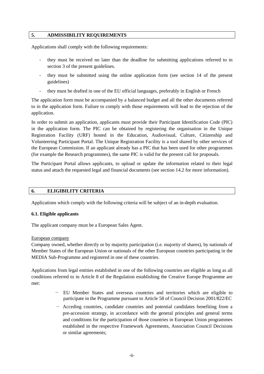#### **5. ADMISSIBILITY REQUIREMENTS**

Applications shall comply with the following requirements:

- they must be received no later than the deadline for submitting applications referred to in section 3 of the present guidelines.
- they must be submitted using the online application form (see section 14 of the present guidelines)
- they must be drafted in one of the EU official languages, preferably in English or French

The application form must be accompanied by a balanced budget and all the other documents referred to in the application form. Failure to comply with those requirements will lead to the rejection of the application.

In order to submit an application, applicants must provide their Participant Identification Code (PIC) in the application form. The PIC can be obtained by registering the organisation in the Unique Registration Facility (URF) hosted in the Education, Audiovisual, Culture, Citizenship and Volunteering Participant Portal. The Unique Registration Facility is a tool shared by other services of the European Commission. If an applicant already has a PIC that has been used for other programmes (for example the Research programmes), the same PIC is valid for the present call for proposals.

The Participant Portal allows applicants, to upload or update the information related to their legal status and attach the requested legal and financial documents (see section 14.2 for more information).

#### **6. ELIGIBILITY CRITERIA**

Applications which comply with the following criteria will be subject of an in-depth evaluation.

#### **6.1. Eligible applicants**

The applicant company must be a European Sales Agent.

#### European company

Company owned, whether directly or by majority participation (i.e. majority of shares), by nationals of Member States of the European Union or nationals of the other European countries participating in the MEDIA Sub-Programme and registered in one of these countries.

Applications from legal entities established in one of the following countries are eligible as long as all conditions referred to in Article 8 of the Regulation establishing the Creative Europe Programme are met:

- EU Member States and overseas countries and territories which are eligible to participate in the Programme pursuant to Article 58 of Council Decision 2001/822/EC
- − Acceding countries, candidate countries and potential candidates benefiting from a pre-accession strategy, in accordance with the general principles and general terms and conditions for the participation of those countries in European Union programmes established in the respective Framework Agreements, Association Council Decisions or similar agreements;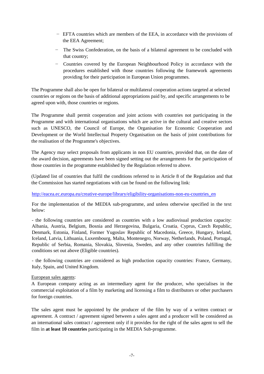- − EFTA countries which are members of the EEA, in accordance with the provisions of the EEA Agreement;
- − The Swiss Confederation, on the basis of a bilateral agreement to be concluded with that country;
- − Countries covered by the European Neighbourhood Policy in accordance with the procedures established with those countries following the framework agreements providing for their participation in European Union programmes.

The Programme shall also be open for bilateral or multilateral cooperation actions targeted at selected countries or regions on the basis of additional appropriations paid by, and specific arrangements to be agreed upon with, those countries or regions.

The Programme shall permit cooperation and joint actions with countries not participating in the Programme and with international organisations which are active in the cultural and creative sectors such as UNESCO, the Council of Europe, the Organisation for Economic Cooperation and Development or the World Intellectual Property Organisation on the basis of joint contributions for the realisation of the Programme's objectives.

The Agency may select proposals from applicants in non EU countries, provided that, on the date of the award decision, agreements have been signed setting out the arrangements for the participation of those countries in the programme established by the Regulation referred to above.

(Updated list of countries that fulfil the conditions referred to in Article 8 of the Regulation and that the Commission has started negotiations with can be found on the following link:

## [http://eacea.ec.europa.eu/creative-europe/library/eligibility-organisations-non-eu-countries\\_en](http://eacea.ec.europa.eu/creative-europe/library/eligibility-organisations-non-eu-countries_en)

For the implementation of the MEDIA sub-programme, and unless otherwise specified in the text below:

- the following countries are considered as countries with a low audiovisual production capacity: Albania, Austria, Belgium, Bosnia and Herzegovina, Bulgaria, Croatia, Cyprus, Czech Republic, Denmark, Estonia, Finland, Former Yugoslav Republic of Macedonia, Greece, Hungary, Ireland, Iceland, Latvia, Lithuania, Luxembourg, Malta, Montenegro, Norway, Netherlands, Poland, Portugal, Republic of Serbia, Romania, Slovakia, Slovenia, Sweden, and any other countries fulfilling the conditions set out above (Eligible countries).

- the following countries are considered as high production capacity countries: France, Germany, Italy, Spain, and United Kingdom.

#### European sales agents:

A European company acting as an intermediary agent for the producer, who specialises in the commercial exploitation of a film by marketing and licensing a film to distributors or other purchasers for foreign countries.

The sales agent must be appointed by the producer of the film by way of a written contract or agreement. A contract / agreement signed between a sales agent and a producer will be considered as an international sales contract / agreement only if it provides for the right of the sales agent to sell the film in **at least 10 countries** participating in the MEDIA Sub-programme.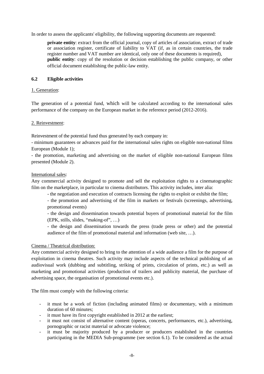In order to assess the applicants' eligibility, the following supporting documents are requested:

**private entity**: extract from the official journal, copy of articles of association, extract of trade or association register, certificate of liability to VAT (if, as in certain countries, the trade register number and VAT number are identical, only one of these documents is required), **public entity**: copy of the resolution or decision establishing the public company, or other official document establishing the public-law entity.

## **6.2 Eligible activities**

## 1. Generation:

The generation of a potential fund, which will be calculated according to the international sales performance of the company on the European market in the reference period (2012-2016).

#### 2. Reinvestment:

Reinvestment of the potential fund thus generated by each company in:

- minimum guarantees or advances paid for the international sales rights on eligible non-national films European (Module 1);

- the promotion, marketing and advertising on the market of eligible non-national European films presented (Module 2).

#### International sales:

Any commercial activity designed to promote and sell the exploitation rights to a cinematographic film on the marketplace, in particular to cinema distributors. This activity includes, inter alia:

- the negotiation and execution of contracts licensing the rights to exploit or exhibit the film;

- the promotion and advertising of the film in markets or festivals (screenings, advertising, promotional events)

- the design and dissemination towards potential buyers of promotional material for the film (EPK, stills, slides, "making-of", …)

- the design and dissemination towards the press (trade press or other) and the potential audience of the film of promotional material and information (web site, …).

#### Cinema / Theatrical distribution:

Any commercial activity designed to bring to the attention of a wide audience a film for the purpose of exploitation in cinema theatres. Such activity may include aspects of the technical publishing of an audiovisual work (dubbing and subtitling, striking of prints, circulation of prints, etc.) as well as marketing and promotional activities (production of trailers and publicity material, the purchase of advertising space, the organisation of promotional events etc.).

The film must comply with the following criteria:

- it must be a work of fiction (including animated films) or documentary, with a minimum duration of 60 minutes;
- it must have its first copyright established in 2012 at the earliest;
- it must not consist of alternative content (operas, concerts, performances, etc.), advertising, pornographic or racist material or advocate violence;
- it must be majority produced by a producer or producers established in the countries participating in the MEDIA Sub-programme (see section 6.1). To be considered as the actual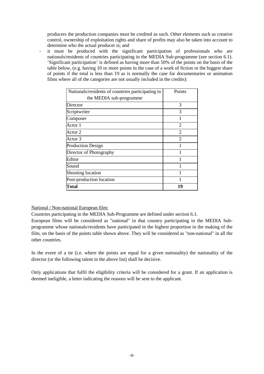producers the production companies must be credited as such. Other elements such as creative control, ownership of exploitation rights and share of profits may also be taken into account to determine who the actual producer is; and

- it must be produced with the significant participation of professionals who are nationals/residents of countries participating in the MEDIA Sub-programme (see section 6.1). 'Significant participation' is defined as having more than 50% of the points on the basis of the table below, (e.g. having 10 or more points in the case of a work of fiction or the biggest share of points if the total is less than 19 as is normally the case for documentaries or animation films where all of the categories are not usually included in the credits):

| Nationals/residents of countries participating in | Points                      |
|---------------------------------------------------|-----------------------------|
| the MEDIA sub-programme                           |                             |
| Director                                          | 3                           |
| Scriptwriter                                      | 3                           |
| Composer                                          |                             |
| Actor 1                                           | $\overline{2}$              |
| Actor 2                                           | $\overline{2}$              |
| Actor 3                                           | $\mathcal{D}_{\mathcal{A}}$ |
| <b>Production Design</b>                          |                             |
| Director of Photography                           |                             |
| Editor                                            |                             |
| Sound                                             |                             |
| Shooting location                                 |                             |
| Post-production location                          | 1                           |
| Total                                             | 19                          |

## National / Non-national European film:

Countries participating in the MEDIA Sub-Programme are defined under section 6.1.

European films will be considered as "national" in that country participating in the MEDIA Subprogramme whose nationals/residents have participated in the highest proportion in the making of the film, on the basis of the points table shown above. They will be considered as "non-national" in all the other countries.

In the event of a tie (i.e. where the points are equal for a given nationality) the nationality of the director (or the following talent in the above list) shall be decisive.

Only applications that fulfil the eligibility criteria will be considered for a grant. If an application is deemed ineligible, a letter indicating the reasons will be sent to the applicant.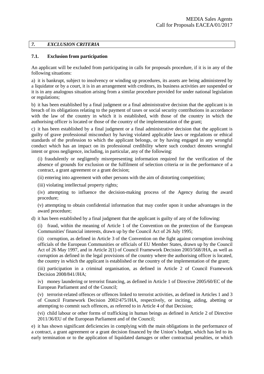## *7. EXCLUSION CRITERIA*

#### **7.1. Exclusion from participation**

An applicant will be excluded from participating in calls for proposals procedure, if it is in any of the following situations:

a) it is bankrupt, subject to insolvency or winding up procedures, its assets are being administered by a liquidator or by a court, it is in an arrangement with creditors, its business activities are suspended or it is in any analogous situation arising from a similar procedure provided for under national legislation or regulations;

b) it has been established by a final judgment or a final administrative decision that the applicant is in breach of its obligations relating to the payment of taxes or social security contributions in accordance with the law of the country in which it is established, with those of the country in which the authorising officer is located or those of the country of the implementation of the grant;

c) it has been established by a final judgment or a final administrative decision that the applicant is guilty of grave professional misconduct by having violated applicable laws or regulations or ethical standards of the profession to which the applicant belongs, or by having engaged in any wrongful conduct which has an impact on its professional credibility where such conduct denotes wrongful intent or gross negligence, including, in particular, any of the following:

(i) fraudulently or negligently misrepresenting information required for the verification of the absence of grounds for exclusion or the fulfilment of selection criteria or in the performance of a contract, a grant agreement or a grant decision;

(ii) entering into agreement with other persons with the aim of distorting competition;

(iii) violating intellectual property rights;

(iv) attempting to influence the decision-making process of the Agency during the award procedure;

(v) attempting to obtain confidential information that may confer upon it undue advantages in the award procedure;

d) it has been established by a final judgment that the applicant is guilty of any of the following:

(i) fraud, within the meaning of Article 1 of the Convention on the protection of the European Communities' financial interests, drawn up by the Council Act of 26 July 1995;

(ii) corruption, as defined in Article 3 of the Convention on the fight against corruption involving officials of the European Communities or officials of EU Member States, drawn up by the Council Act of 26 May 1997, and in Article 2(1) of Council Framework Decision 2003/568/JHA, as well as corruption as defined in the legal provisions of the country where the authorising officer is located, the country in which the applicant is established or the country of the implementation of the grant;

(iii) participation in a criminal organisation, as defined in Article 2 of Council Framework Decision 2008/841/JHA;

iv) money laundering or terrorist financing, as defined in Article 1 of Directive 2005/60/EC of the European Parliament and of the Council;

(v) terrorist-related offences or offences linked to terrorist activities, as defined in Articles 1 and 3 of Council Framework Decision 2002/475/JHA, respectively, or inciting, aiding, abetting or attempting to commit such offences, as referred to in Article 4 of that Decision;

(vi) child labour or other forms of trafficking in human beings as defined in Article 2 of Directive 2011/36/EU of the European Parliament and of the Council;

e) it has shown significant deficiencies in complying with the main obligations in the performance of a contract, a grant agreement or a grant decision financed by the Union's budget, which has led to its early termination or to the application of liquidated damages or other contractual penalties, or which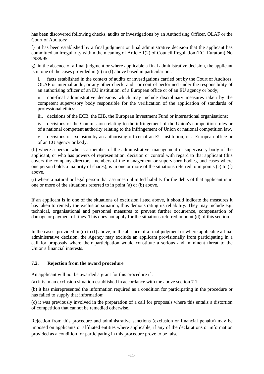has been discovered following checks, audits or investigations by an Authorising Officer, OLAF or the Court of Auditors;

f) it has been established by a final judgment or final administrative decision that the applicant has committed an irregularity within the meaning of Article 1(2) of Council Regulation (EC, Euratom) No 2988/95;

g) in the absence of a final judgment or where applicable a final administrative decision, the applicant is in one of the cases provided in (c) to (f) above based in particular on :

facts established in the context of audits or investigations carried out by the Court of Auditors, OLAF or internal audit, or any other check, audit or control performed under the responsibility of an authorising officer of an EU institution, of a European office or of an EU agency or body;

ii. non-final administrative decisions which may include disciplinary measures taken by the competent supervisory body responsible for the verification of the application of standards of professional ethics;

iii. decisions of the ECB, the EIB, the European Investment Fund or international organisations;

iv. decisions of the Commission relating to the infringement of the Union's competition rules or of a national competent authority relating to the infringement of Union or national competition law.

v. decisions of exclusion by an authorising officer of an EU institution, of a European office or of an EU agency or body.

(h) where a person who is a member of the administrative, management or supervisory body of the applicant, or who has powers of representation, decision or control with regard to that applicant (this covers the company directors, members of the management or supervisory bodies, and cases where one person holds a majority of shares), is in one or more of the situations referred to in points (c) to (f) above.

(i) where a natural or legal person that assumes unlimited liability for the debts of that applicant is in one or more of the situations referred to in point (a) or (b) above.

If an applicant is in one of the situations of exclusion listed above, it should indicate the measures it has taken to remedy the exclusion situation, thus demonstrating its reliability. They may include e.g. technical, organisational and personnel measures to prevent further occurrence, compensation of damage or payment of fines. This does not apply for the situations referred in point (d) of this section.

In the cases provided in (c) to (f) above, in the absence of a final judgment or where applicable a final administrative decision, the Agency may exclude an applicant provisionally from participating in a call for proposals where their participation would constitute a serious and imminent threat to the Union's financial interests.

## **7.2. Rejection from the award procedure**

An applicant will not be awarded a grant for this procedure if :

(a) it is in an exclusion situation established in accordance with the above section 7.1;

(b) it has misrepresented the information required as a condition for participating in the procedure or has failed to supply that information;

(c) it was previously involved in the preparation of a call for proposals where this entails a distortion of competition that cannot be remedied otherwise.

Rejection from this procedure and administrative sanctions (exclusion or financial penalty) may be imposed on applicants or affiliated entities where applicable, if any of the declarations or information provided as a condition for participating in this procedure prove to be false.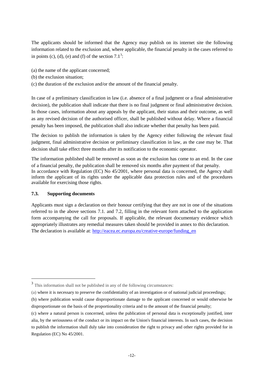The applicants should be informed that the Agency may publish on its internet site the following information related to the exclusion and, where applicable, the financial penalty in the cases referred to in points (c), (d), (e) and (f) of the section  $7.1<sup>3</sup>$  $7.1<sup>3</sup>$  $7.1<sup>3</sup>$ :

- (a) the name of the applicant concerned;
- (b) the exclusion situation;
- (c) the duration of the exclusion and/or the amount of the financial penalty.

In case of a preliminary classification in law (i.e. absence of a final judgment or a final administrative decision), the publication shall indicate that there is no final judgment or final administrative decision. In those cases, information about any appeals by the applicant, their status and their outcome, as well as any revised decision of the authorised officer, shall be published without delay. Where a financial penalty has been imposed, the publication shall also indicate whether that penalty has been paid.

The decision to publish the information is taken by the Agency either following the relevant final judgment, final administrative decision or preliminary classification in law, as the case may be. That decision shall take effect three months after its notification to the economic operator.

The information published shall be removed as soon as the exclusion has come to an end. In the case of a financial penalty, the publication shall be removed six months after payment of that penalty. In accordance with Regulation (EC) No 45/2001, where personal data is concerned, the Agency shall inform the applicant of its rights under the applicable data protection rules and of the procedures available for exercising those rights.

#### **7.3. Supporting documents**

 $\overline{a}$ 

Applicants must sign a declaration on their honour certifying that they are not in one of the situations referred to in the above sections 7.1. and 7.2, filling in the relevant form attached to the application form accompanying the call for proposals. If applicable, the relevant documentary evidence which appropriately illustrates any remedial measures taken should be provided in annex to this declaration. The declaration is available at: [http://eacea.ec.europa.eu/creative-europe/funding\\_en](http://eacea.ec.europa.eu/creative-europe/funding_en)

<span id="page-11-0"></span><sup>&</sup>lt;sup>3</sup> This information shall not be published in any of the following circumstances:

<sup>(</sup>a) where it is necessary to preserve the confidentiality of an investigation or of national judicial proceedings;

<sup>(</sup>b) where publication would cause disproportionate damage to the applicant concerned or would otherwise be disproportionate on the basis of the proportionality criteria and to the amount of the financial penalty;

<sup>(</sup>c) where a natural person is concerned, unless the publication of personal data is exceptionally justified, inter alia, by the seriousness of the conduct or its impact on the Union's financial interests. In such cases, the decision to publish the information shall duly take into consideration the right to privacy and other rights provided for in Regulation (EC) No 45/2001.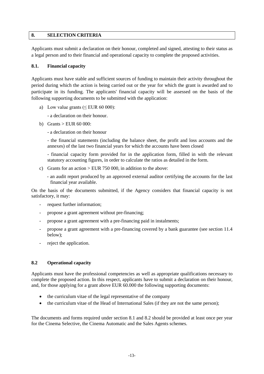#### **8. SELECTION CRITERIA**

Applicants must submit a declaration on their honour, completed and signed, attesting to their status as a legal person and to their financial and operational capacity to complete the proposed activities.

#### **8.1. Financial capacity**

Applicants must have stable and sufficient sources of funding to maintain their activity throughout the period during which the action is being carried out or the year for which the grant is awarded and to participate in its funding. The applicants' financial capacity will be assessed on the basis of the following supporting documents to be submitted with the application:

a) Low value grants ( $\leq$  EUR 60 000):

- a declaration on their honour.

- b) Grants  $>$  EUR 60 000:
	- a declaration on their honour

- the financial statements (including the balance sheet, the profit and loss accounts and the annexes) of the last two financial years for which the accounts have been closed

- financial capacity form provided for in the application form, filled in with the relevant statutory accounting figures, in order to calculate the ratios as detailed in the form.

- c) Grants for an action > EUR 750 000, in addition to the above:
	- an audit report produced by an approved external auditor certifying the accounts for the last financial year available.

On the basis of the documents submitted, if the Agency considers that financial capacity is not satisfactory, it may:

- request further information:
- propose a grant agreement without pre-financing;
- propose a grant agreement with a pre-financing paid in instalments;
- propose a grant agreement with a pre-financing covered by a bank guarantee (see section 11.4 below);
- reject the application.

#### **8.2 Operational capacity**

Applicants must have the professional competencies as well as appropriate qualifications necessary to complete the proposed action. In this respect, applicants have to submit a declaration on their honour, and, for those applying for a grant above EUR 60.000 the following supporting documents:

- the curriculum vitae of the legal representative of the company
- the curriculum vitae of the Head of International Sales (if they are not the same person);

The documents and forms required under section 8.1 and 8.2 should be provided at least once per year for the Cinema Selective, the Cinema Automatic and the Sales Agents schemes.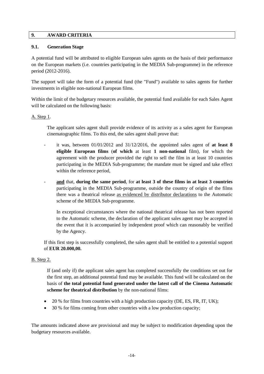## **9. AWARD CRITERIA**

## **9.1. Generation Stage**

A potential fund will be attributed to eligible European sales agents on the basis of their performance on the European markets (i.e. countries participating in the MEDIA Sub-programme) in the reference period (2012-2016).

The support will take the form of a potential fund (the "Fund") available to sales agents for further investments in eligible non-national European films.

Within the limit of the budgetary resources available, the potential fund available for each Sales Agent will be calculated on the following basis:

#### A. Step 1.

The applicant sales agent shall provide evidence of its activity as a sales agent for European cinematographic films. To this end, the sales agent shall prove that:

- it was, between  $01/01/2012$  and  $31/12/2016$ , the appointed sales agent of **at least 8 eligible European films** (**of which** at least **1 non-national** film), for which the agreement with the producer provided the right to sell the film in at least 10 countries participating in the MEDIA Sub-programme; the mandate must be signed and take effect within the reference period,
- **and** that, **during the same period**, for **at least 3 of these films in at least 3 countries**  participating in the MEDIA Sub-programme, outside the country of origin of the films there was a theatrical release as evidenced by distributor declarations to the Automatic scheme of the MEDIA Sub-programme.

In exceptional circumstances where the national theatrical release has not been reported to the Automatic scheme, the declaration of the applicant sales agent may be accepted in the event that it is accompanied by independent proof which can reasonably be verified by the Agency.

If this first step is successfully completed, the sales agent shall be entitled to a potential support of **EUR 20.000,00.**

#### B. Step 2.

If (and only if) the applicant sales agent has completed successfully the conditions set out for the first step, an additional potential fund may be available. This fund will be calculated on the basis of **the total potential fund generated under the latest call of the Cinema Automatic scheme for theatrical distribution** by the non-national films:

- 20 % for films from countries with a high production capacity (DE, ES, FR, IT, UK);
- 30 % for films coming from other countries with a low production capacity;

The amounts indicated above are provisional and may be subject to modification depending upon the budgetary resources available.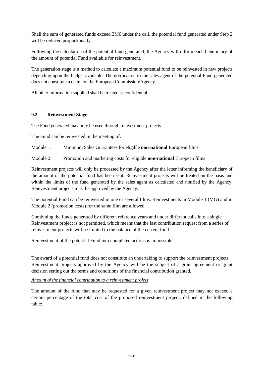Shall the sum of generated funds exceed 3M€ under the call, the potential fund generated under Step 2 will be reduced proportionally.

Following the calculation of the potential fund generated, the Agency will inform each beneficiary of the amount of potential Fund available for reinvestment.

The generation stage is a method to calculate a maximum potential fund to be reinvested in new projects depending upon the budget available. The notification to the sales agent of the potential Fund generated does not constitute a claim on the European Commission/Agency.

All other information supplied shall be treated as confidential.

## **9.2 Reinvestment Stage**

The Fund generated may only be used through reinvestment projects.

The Fund can be reinvested in the meeting of:

- Module 1: Minimum Sales Guarantees for eligible **non-national** European films
- Module 2: Promotion and marketing costs for eligible **non-national** European films

Reinvestment projects will only be processed by the Agency after the letter informing the beneficiary of the amount of the potential fund has been sent. Reinvestment projects will be treated on the basis and within the limits of the fund generated by the sales agent as calculated and notified by the Agency. Reinvestment projects must be approved by the Agency.

The potential Fund can be reinvested in one or several films. Reinvestments in Module 1 (MG) and in Module 2 (promotion costs) for the same film are allowed.

Combining the funds generated by different reference years and under different calls into a single Reinvestment project is not permitted, which means that the last contribution request from a series of reinvestment projects will be limited to the balance of the current fund.

Reinvestment of the potential Fund into completed actions is impossible.

The award of a potential fund does not constitute an undertaking to support the reinvestment projects. Reinvestment projects approved by the Agency will be the subject of a grant agreement or grant decision setting out the terms and conditions of the financial contribution granted.

*Amount of the financial contribution to a reinvestment project*

The amount of the fund that may be requested for a given reinvestment project may not exceed a certain percentage of the total cost of the proposed reinvestment project, defined in the following table: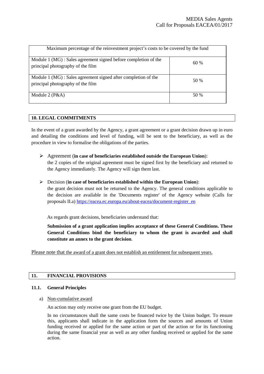| Maximum percentage of the reinvestment project's costs to be covered by the fund                    |      |  |  |
|-----------------------------------------------------------------------------------------------------|------|--|--|
| Module 1 (MG): Sales agreement signed before completion of the<br>principal photography of the film | 60%  |  |  |
| Module 1 (MG) : Sales agreement signed after completion of the<br>principal photography of the film | 50 % |  |  |
| Module $2(P&A)$                                                                                     | 50 % |  |  |

## **10. LEGAL COMMITMENTS**

In the event of a grant awarded by the Agency, a grant agreement or a grant decision drawn up in euro and detailing the conditions and level of funding, will be sent to the beneficiary, as well as the procedure in view to formalise the obligations of the parties.

- Agreement (**in case of beneficiaries established outside the European Union**): the 2 copies of the original agreement must be signed first by the beneficiary and returned to the Agency immediately. The Agency will sign them last.
- Decision (**in case of beneficiaries established within the European Union**): the grant decision must not be returned to the Agency. The general conditions applicable to the decision are available in the 'Documents register' of the Agency website (Calls for proposals II.a) [https://eacea.ec.europa.eu/about-eacea/document-register\\_en](https://eacea.ec.europa.eu/about-eacea/document-register_en)

As regards grant decisions, beneficiaries understand that:

**Submission of a grant application implies acceptance of these General Conditions. These General Conditions bind the beneficiary to whom the grant is awarded and shall constitute an annex to the grant decision**.

Please note that the award of a grant does not establish an entitlement for subsequent years.

## **11. FINANCIAL PROVISIONS**

#### **11.1. General Principles**

#### a) Non-cumulative award

An action may only receive one grant from the EU budget.

In no circumstances shall the same costs be financed twice by the Union budget. To ensure this, applicants shall indicate in the application form the sources and amounts of Union funding received or applied for the same action or part of the action or for its functioning during the same financial year as well as any other funding received or applied for the same action.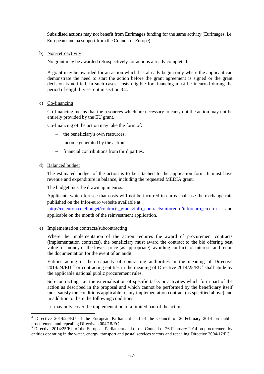Subsidised actions may not benefit from Eurimages funding for the same activity (Eurimages. i.e. European cinema support from the Council of Europe).

b) Non-retroactivity

No grant may be awarded retrospectively for actions already completed.

A grant may be awarded for an action which has already begun only where the applicant can demonstrate the need to start the action before the grant agreement is signed or the grant decision is notified. In such cases, costs eligible for financing must be incurred during the period of eligibility set out in section 3.2.

#### c) Co-financing

Co-financing means that the resources which are necessary to carry out the action may not be entirely provided by the EU grant.

Co-financing of the action may take the form of:

- − the beneficiary's own resources,
- − income generated by the action,
- financial contributions from third parties.
- d) Balanced budget

The estimated budget of the action is to be attached to the application form. It must have revenue and expenditure in balance, including the requested MEDIA grant.

The budget must be drawn up in euros.

Applicants which foresee that costs will not be incurred in euros shall use the exchange rate published on the Infor-euro website available at:

[http://ec.europa.eu/budget/contracts\\_grants/info\\_contracts/inforeuro/inforeuro\\_en.cfm](http://ec.europa.eu/budget/contracts_grants/info_contracts/inforeuro/inforeuro_en.cfm) and applicable on the month of the reinvestment application.

e) Implementation contracts/subcontracting

Where the implementation of the action requires the award of procurement contracts (implementation contracts), the beneficiary must award the contract to the bid offering best value for money or the lowest price (as appropriate), avoiding conflicts of interests and retain the documentation for the event of an audit.

Entities acting in their capacity of contracting authorities in the meaning of Directive 201[4](#page-16-0)/24/EU  $^4$  or contracting entities in the meaning of Directive 2014/2[5](#page-16-1)/EU<sup>5</sup> shall abide by the applicable national public procurement rules.

Sub-contracting, i.e. the externalisation of specific tasks or activities which form part of the action as described in the proposal and which cannot be performed by the beneficiary itself must satisfy the conditions applicable to any implementation contract (as specified above) and in addition to them the following conditions:

- it may only cover the implementation of a limited part of the action.

<span id="page-16-0"></span><sup>&</sup>lt;sup>4</sup> Directive 2014/24/EU of the European Parliament and of the Council of 26 February 2014 on public procurement and repealing Directive 2004/18/EC.

<span id="page-16-1"></span>Directive 2014/25/EU of the European Parliament and of the Council of 26 February 2014 on procurement by entities operating in the water, energy, transport and postal services sectors and repealing Directive 2004/17/EC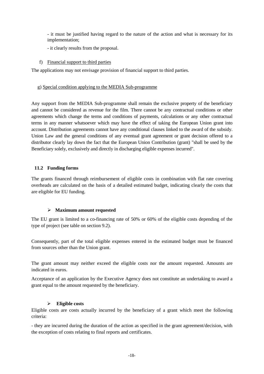- it must be justified having regard to the nature of the action and what is necessary for its implementation;

- it clearly results from the proposal.
- f) Financial support to third parties

The applications may not envisage provision of financial support to third parties.

#### g) Special condition applying to the MEDIA Sub-programme

Any support from the MEDIA Sub-programme shall remain the exclusive property of the beneficiary and cannot be considered as revenue for the film. There cannot be any contractual conditions or other agreements which change the terms and conditions of payments, calculations or any other contractual terms in any manner whatsoever which may have the effect of taking the European Union grant into account. Distribution agreements cannot have any conditional clauses linked to the award of the subsidy. Union Law and the general conditions of any eventual grant agreement or grant decision offered to a distributor clearly lay down the fact that the European Union Contribution (grant) "shall be used by the Beneficiary solely, exclusively and directly in discharging eligible expenses incurred".

## **11.2 Funding forms**

The grants financed through reimbursement of eligible costs in combination with flat rate covering overheads are calculated on the basis of a detailed estimated budget, indicating clearly the costs that are eligible for EU funding.

## **Maximum amount requested**

The EU grant is limited to a co-financing rate of 50% or 60% of the eligible costs depending of the type of project (see table on section 9.2).

Consequently, part of the total eligible expenses entered in the estimated budget must be financed from sources other than the Union grant.

The grant amount may neither exceed the eligible costs nor the amount requested. Amounts are indicated in euros.

Acceptance of an application by the Executive Agency does not constitute an undertaking to award a grant equal to the amount requested by the beneficiary.

## **Eligible costs**

Eligible costs are costs actually incurred by the beneficiary of a grant which meet the following criteria:

- they are incurred during the duration of the action as specified in the grant agreement/decision, with the exception of costs relating to final reports and certificates.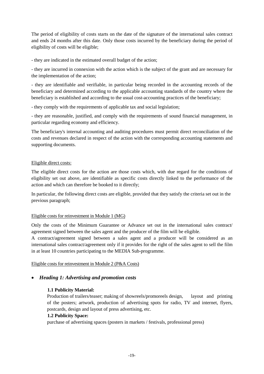The period of eligibility of costs starts on the date of the signature of the international sales contract and ends 24 months after this date. Only those costs incurred by the beneficiary during the period of eligibility of costs will be eligible;

- they are indicated in the estimated overall budget of the action;

- they are incurred in connexion with the action which is the subject of the grant and are necessary for the implementation of the action;

- they are identifiable and verifiable, in particular being recorded in the accounting records of the beneficiary and determined according to the applicable accounting standards of the country where the beneficiary is established and according to the usual cost-accounting practices of the beneficiary;

- they comply with the requirements of applicable tax and social legislation;

- they are reasonable, justified, and comply with the requirements of sound financial management, in particular regarding economy and efficiency.

The beneficiary's internal accounting and auditing procedures must permit direct reconciliation of the costs and revenues declared in respect of the action with the corresponding accounting statements and supporting documents.

## Eligible direct costs:

The eligible direct costs for the action are those costs which, with due regard for the conditions of eligibility set out above, are identifiable as specific costs directly linked to the performance of the action and which can therefore be booked to it directly;

In particular, the following direct costs are eligible, provided that they satisfy the criteria set out in the previous paragraph;

## Eligible costs for reinvestment in Module 1 (MG)

Only the costs of the Minimum Guarantee or Advance set out in the international sales contract/ agreement signed between the sales agent and the producer of the film will be eligible.

A contract/agreement signed between a sales agent and a producer will be considered as an international sales contract/agreement only if it provides for the right of the sales agent to sell the film in at least 10 countries participating to the MEDIA Sub-programme.

## Eligible costs for reinvestment in Module 2 (P&A Costs)

## • *Heading 1: Advertising and promotion costs*

## **1.1 Publicity Material:**

Production of trailers/teaser; making of showreels/promoreels design, layout and printing of the posters; artwork, production of advertising spots for radio, TV and internet, flyers, postcards, design and layout of press advertising, etc.

## **1.2 Publicity Space:**

purchase of advertising spaces (posters in markets / festivals, professional press)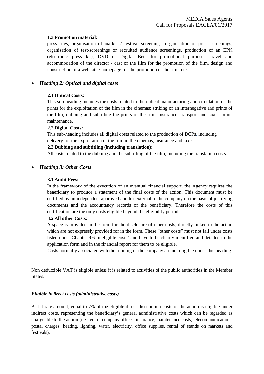#### **1.3 Promotion material:**

press files, organisation of market / festival screenings, organisation of press screenings, organisation of test-screenings or recruited audience screenings, production of an EPK (electronic press kit), DVD or Digital Beta for promotional purposes, travel and accommodation of the director / cast of the film for the promotion of the film, design and construction of a web site / homepage for the promotion of the film, etc.

## • *Heading 2: Optical and digital costs*

## **2.1 Optical Costs:**

This sub-heading includes the costs related to the optical manufacturing and circulation of the prints for the exploitation of the film in the cinemas: striking of an internegative and prints of the film, dubbing and subtitling the prints of the film, insurance, transport and taxes, prints maintenance.

#### **2.2 Digital Costs:**

This sub-heading includes all digital costs related to the production of DCPs, including delivery for the exploitation of the film in the cinemas, insurance and taxes.

#### **2.3 Dubbing and subtitling (including translation):**

All costs related to the dubbing and the subtitling of the film, including the translation costs.

## • *Heading 3: Other Costs*

#### **3.1 Audit Fees:**

In the framework of the execution of an eventual financial support, the Agency requires the beneficiary to produce a statement of the final costs of the action. This document must be certified by an independent approved auditor external to the company on the basis of justifying documents and the accountancy records of the beneficiary. Therefore the costs of this certification are the only costs eligible beyond the eligibility period.

#### **3.2 All other Costs:**

A space is provided in the form for the disclosure of other costs, directly linked to the action which are not expressly provided for in the form. These "other costs" must not fall under costs listed under Chapter 9.6 'ineligible costs' and have to be clearly identified and detailed in the application form and in the financial report for them to be eligible.

Costs normally associated with the running of the company are not eligible under this heading.

Non deductible VAT is eligible unless it is related to activities of the public authorities in the Member States.

#### *Eligible indirect costs (administrative costs)*

A flat-rate amount, equal to 7% of the eligible direct distribution costs of the action is eligible under indirect costs, representing the beneficiary's general administrative costs which can be regarded as chargeable to the action (i.e. rent of company offices, insurance, maintenance costs, telecommunications, postal charges, heating, lighting, water, electricity, office supplies, rental of stands on markets and festivals).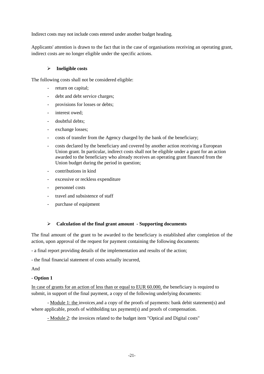Indirect costs may not include costs entered under another budget heading.

Applicants' attention is drawn to the fact that in the case of organisations receiving an operating grant, indirect costs are no longer eligible under the specific actions.

#### **Ineligible costs**

The following costs shall not be considered eligible:

- return on capital;
- debt and debt service charges;
- provisions for losses or debts;
- interest owed;
- doubtful debts:
- exchange losses;
- costs of transfer from the Agency charged by the bank of the beneficiary;
- costs declared by the beneficiary and covered by another action receiving a European Union grant. In particular, indirect costs shall not be eligible under a grant for an action awarded to the beneficiary who already receives an operating grant financed from the Union budget during the period in question;
- contributions in kind
- excessive or reckless expenditure
- personnel costs
- travel and subsistence of staff
- purchase of equipment

## **Calculation of the final grant amount - Supporting documents**

The final amount of the grant to be awarded to the beneficiary is established after completion of the action, upon approval of the request for payment containing the following documents:

- a final report providing details of the implementation and results of the action;

- the final financial statement of costs actually incurred,

And

## - **Option 1**

In case of grants for an action of less than or equal to EUR 60.000, the beneficiary is required to submit, in support of the final payment, a copy of the following underlying documents:

- Module 1: the invoices and a copy of the proofs of payments: bank debit statement(s) and where applicable, proofs of withholding tax payment(s) and proofs of compensation.

- Module 2: the invoices related to the budget item "Optical and Digital costs"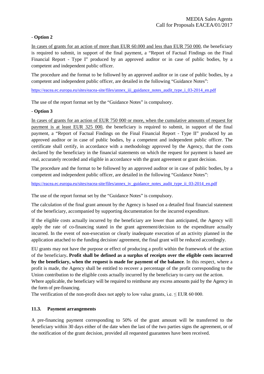## - **Option 2**

In cases of grants for an action of more than EUR 60.000 and less than EUR 750 000, the beneficiary is required to submit, in support of the final payment, a "Report of Factual Findings on the Final Financial Report - Type I" produced by an approved auditor or in case of public bodies, by a competent and independent public officer.

The procedure and the format to be followed by an approved auditor or in case of public bodies, by a competent and independent public officer, are detailed in the following "Guidance Notes":

[https://eacea.ec.europa.eu/sites/eacea-site/files/annex\\_iii\\_guidance\\_notes\\_audit\\_type\\_i\\_03-2014\\_en.pdf](https://eacea.ec.europa.eu/sites/eacea-site/files/annex_iii_guidance_notes_audit_type_i_03-2014_en.pdf)

The use of the report format set by the "Guidance Notes" is compulsory.

## - **Option 3**

In cases of grants for an action of EUR 750 000 or more, when the cumulative amounts of request for payment is at least EUR 325 000, the beneficiary is required to submit, in support of the final payment, a "Report of Factual Findings on the Final Financial Report - Type II" produced by an approved auditor or in case of public bodies, by a competent and independent public officer. The certificate shall certify, in accordance with a methodology approved by the Agency, that the costs declared by the beneficiary in the financial statements on which the request for payment is based are real, accurately recorded and eligible in accordance with the grant agreement or grant decision.

The procedure and the format to be followed by an approved auditor or in case of public bodies, by a competent and independent public officer, are detailed in the following "Guidance Notes":

[https://eacea.ec.europa.eu/sites/eacea-site/files/annex\\_iv\\_guidance\\_notes\\_audit\\_type\\_ii\\_03-2014\\_en.pdf](https://eacea.ec.europa.eu/sites/eacea-site/files/annex_iv_guidance_notes_audit_type_ii_03-2014_en.pdf)

The use of the report format set by the "Guidance Notes" is compulsory.

The calculation of the final grant amount by the Agency is based on a detailed final financial statement of the beneficiary, accompanied by supporting documentation for the incurred expenditure.

If the eligible costs actually incurred by the beneficiary are lower than anticipated, the Agency will apply the rate of co-financing stated in the grant agreement/decision to the expenditure actually incurred. In the event of non-execution or clearly inadequate execution of an activity planned in the application attached to the funding decision/ agreement, the final grant will be reduced accordingly.

EU grants may not have the purpose or effect of producing a profit within the framework of the action of the beneficiary**. Profit shall be defined as a surplus of receipts over the eligible costs incurred by the beneficiary, when the request is made for payment of the balance**. In this respect, where a profit is made, the Agency shall be entitled to recover a percentage of the profit corresponding to the Union contribution to the eligible costs actually incurred by the beneficiary to carry out the action. Where applicable, the beneficiary will be required to reimburse any excess amounts paid by the Agency in the form of pre-financing.

The verification of the non-profit does not apply to low value grants, i.e.  $\leq$  EUR 60 000.

## **11.3. Payment arrangements**

A pre-financing payment corresponding to 50% of the grant amount will be transferred to the beneficiary within 30 days either of the date when the last of the two parties signs the agreement, or of the notification of the grant decision, provided all requested guarantees have been received.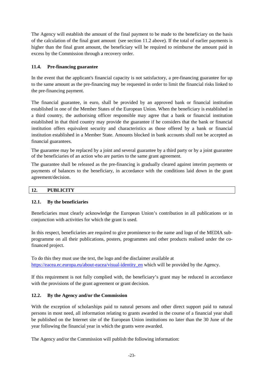The Agency will establish the amount of the final payment to be made to the beneficiary on the basis of the calculation of the final grant amount (see section 11.2 above). If the total of earlier payments is higher than the final grant amount, the beneficiary will be required to reimburse the amount paid in excess by the Commission through a recovery order.

## **11.4. Pre-financing guarantee**

In the event that the applicant's financial capacity is not satisfactory, a pre-financing guarantee for up to the same amount as the pre-financing may be requested in order to limit the financial risks linked to the pre-financing payment.

The financial guarantee, in euro, shall be provided by an approved bank or financial institution established in one of the Member States of the European Union. When the beneficiary is established in a third country, the authorising officer responsible may agree that a bank or financial institution established in that third country may provide the guarantee if he considers that the bank or financial institution offers equivalent security and characteristics as those offered by a bank or financial institution established in a Member State. Amounts blocked in bank accounts shall not be accepted as financial guarantees.

The guarantee may be replaced by a joint and several guarantee by a third party or by a joint guarantee of the beneficiaries of an action who are parties to the same grant agreement.

The guarantee shall be released as the pre-financing is gradually cleared against interim payments or payments of balances to the beneficiary, in accordance with the conditions laid down in the grant agreement/decision.

## **12. PUBLICITY**

## **12.1. By the beneficiaries**

Beneficiaries must clearly acknowledge the European Union's contribution in all publications or in conjunction with activities for which the grant is used.

In this respect, beneficiaries are required to give prominence to the name and logo of the MEDIA subprogramme on all their publications, posters, programmes and other products realised under the cofinanced project.

To do this they must use the text, the logo and the disclaimer available at [https://eacea.ec.europa.eu/about-eacea/visual-identity\\_en](https://eacea.ec.europa.eu/about-eacea/visual-identity_en) which will be provided by the Agency.

If this requirement is not fully complied with, the beneficiary's grant may be reduced in accordance with the provisions of the grant agreement or grant decision.

## **12.2. By the Agency and/or the Commission**

With the exception of scholarships paid to natural persons and other direct support paid to natural persons in most need, all information relating to grants awarded in the course of a financial year shall be published on the Internet site of the European Union institutions no later than the 30 June of the year following the financial year in which the grants were awarded.

The Agency and/or the Commission will publish the following information: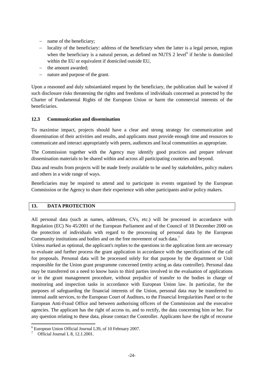- − name of the beneficiary;
- − locality of the beneficiary: address of the beneficiary when the latter is a legal person, region when the beneficiary is a natural person, as defined on NUTS 2 level<sup>[6](#page-23-0)</sup> if he/she is domiciled within the EU or equivalent if domiciled outside EU,
- − the amount awarded;
- nature and purpose of the grant.

Upon a reasoned and duly substantiated request by the beneficiary, the publication shall be waived if such disclosure risks threatening the rights and freedoms of individuals concerned as protected by the Charter of Fundamental Rights of the European Union or harm the commercial interests of the beneficiaries.

## **12.3 Communication and dissemination**

To maximise impact, projects should have a clear and strong strategy for communication and dissemination of their activities and results, and applicants must provide enough time and resources to communicate and interact appropriately with peers, audiences and local communities as appropriate.

The Commission together with the Agency may identify good practices and prepare relevant dissemination materials to be shared within and across all participating countries and beyond.

Data and results from projects will be made freely available to be used by stakeholders, policy makers and others in a wide range of ways.

Beneficiaries may be required to attend and to participate in events organised by the European Commission or the Agency to share their experience with other participants and/or policy makers.

#### **13. DATA PROTECTION**

All personal data (such as names, addresses, CVs, etc.) will be processed in accordance with Regulation (EC) No 45/2001 of the European Parliament and of the Council of 18 December 2000 on the protection of individuals with regard to the processing of personal data by the European Community institutions and bodies and on the free movement of such data.<sup>7</sup>

Unless marked as optional, the applicant's replies to the questions in the application form are necessary to evaluate and further process the grant application in accordance with the specifications of the call for proposals. Personal data will be processed solely for that purpose by the department or Unit responsible for the Union grant programme concerned (entity acting as data controller). Personal data may be transferred on a need to know basis to third parties involved in the evaluation of applications or in the grant management procedure, without prejudice of transfer to the bodies in charge of monitoring and inspection tasks in accordance with European Union law. In particular, for the purposes of safeguarding the financial interests of the Union, personal data may be transferred to internal audit services, to the European Court of Auditors, to the Financial Irregularities Panel or to the European Anti-Fraud Office and between authorising officers of the Commission and the executive agencies. The applicant has the right of access to, and to rectify, the data concerning him or her. For any question relating to these data, please contact the Controller. Applicants have the right of recourse

<span id="page-23-0"></span><sup>6</sup> European Union Official Journal L39, of 10 February 2007.

<sup>7</sup> Official Journal L 8, 12.1.2001.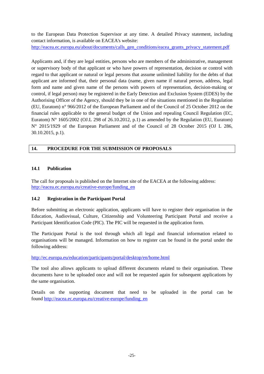to the European Data Protection Supervisor at any time. A detailed Privacy statement, including contact information, is available on EACEA's website:

[http://eacea.ec.europa.eu/about/documents/calls\\_gen\\_conditions/eacea\\_grants\\_privacy\\_statement.pdf](http://eacea.ec.europa.eu/about/documents/calls_gen_conditions/eacea_grants_privacy_statement.pdf)

Applicants and, if they are legal entities, persons who are members of the administrative, management or supervisory body of that applicant or who have powers of representation, decision or control with regard to that applicant or natural or legal persons that assume unlimited liability for the debts of that applicant are informed that, their personal data (name, given name if natural person, address, legal form and name and given name of the persons with powers of representation, decision-making or control, if legal person) may be registered in the Early Detection and Exclusion System (EDES) by the Authorising Officer of the Agency, should they be in one of the situations mentioned in the Regulation (EU, Euratom) n° 966/2012 of the European Parliament and of the Council of 25 October 2012 on the financial rules applicable to the general budget of the Union and repealing Council Regulation (EC, Euratom) N° 1605/2002 (OJ.L 298 of 26.10.2012, p.1) as amended by the Regulation (EU, Euratom) N° 2015/1929 of the European Parliament and of the Council of 28 October 2015 (OJ L 286, 30.10.2015, p.1).

## **14. PROCEDURE FOR THE SUBMISSION OF PROPOSALS**

## **14.1 Publication**

The call for proposals is published on the Internet site of the EACEA at the following address: [http://eacea.ec.europa.eu/creative-europe/funding\\_en](http://eacea.ec.europa.eu/creative-europe/funding_en)

## **14.2 Registration in the Participant Portal**

Before submitting an electronic application, applicants will have to register their organisation in the Education, Audiovisual, Culture, Citizenship and Volunteering Participant Portal and receive a Participant Identification Code (PIC). The PIC will be requested in the application form.

The Participant Portal is the tool through which all legal and financial information related to organisations will be managed. Information on how to register can be found in the portal under the following address:

<http://ec.europa.eu/education/participants/portal/desktop/en/home.html>

The tool also allows applicants to upload different documents related to their organisation. These documents have to be uploaded once and will not be requested again for subsequent applications by the same organisation.

Details on the supporting document that need to be uploaded in the portal can be found [http://eacea.ec.europa.eu/creative-europe/funding\\_en](http://eacea.ec.europa.eu/creative-europe/funding_en)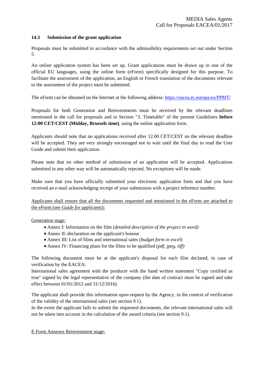#### **14.3 Submission of the grant application**

Proposals must be submitted in accordance with the admissibility requirements set out under Section 5.

An online application system has been set up. Grant applications must be drawn up in one of the official EU languages, using the online form (eForm) specifically designed for this purpose. To facilitate the assessment of the application, an English or French translation of the documents relevant to the assessment of the project must be submitted.

The eForm can be obtained on the Internet at the following address:<https://eacea.ec.europa.eu/PPMT/>

Proposals for both Generation and Reinvestments must be received by the relevant deadlines mentioned in the call for proposals and in Section "3. Timetable" of the present Guidelines **before 12:00 CET/CEST (Midday, Brussels time)**, using the online application form.

Applicants should note that no applications received after 12.00 CET/CEST on the relevant deadline will be accepted. They are very strongly encouraged not to wait until the final day to read the User Guide and submit their application.

Please note that no other method of submission of an application will be accepted. Applications submitted in any other way will be automatically rejected. No exceptions will be made.

Make sure that you have officially submitted your electronic application form and that you have received an e-mail acknowledging receipt of your submission with a project reference number.

Applicants shall ensure that all the documents requested and mentioned in the eForm are attached to the eForm (see *Guide for applicants*):

#### Generation stage:

- Annex I: Information on the film (*detailed description of the project in word)*
- Annex II: declaration on the applicant's honour
- Annex III: List of films and international sales (*budget form in excel*)
- Annex IV: Financing plans for the films to be qualified (*pdf, jpeg, tiff)*

The following document must be at the applicant's disposal for each film declared, in case of verification by the EACEA:

International sales agreement with the producer with the hand written statement "Copy certified as true" signed by the legal representative of the company (the date of contract must be signed and take effect between 01/01/2012 and 31/12/2016).

The applicant shall provide this information upon request by the Agency, in the context of verification of the validity of the international sales (see section 9.1).

In the event the applicant fails to submit the requested documents, the relevant international sales will not be taken into account in the calculation of the award criteria (see section 9.1).

#### E Form Annexes Reinvestment stage: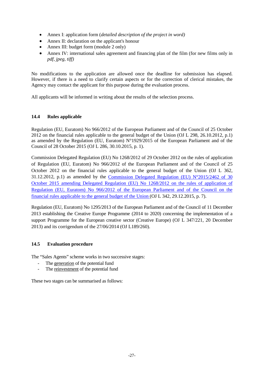- Annex I: application form (*detailed description of the project in word)*
- Annex II: declaration on the applicant's honour
- Annex III: budget form (module 2 only)
- Annex IV: international sales agreement and financing plan of the film (for new films only in *pdf, jpeg, tiff)*

No modifications to the application are allowed once the deadline for submission has elapsed. However, if there is a need to clarify certain aspects or for the correction of clerical mistakes, the Agency may contact the applicant for this purpose during the evaluation process.

All applicants will be informed in writing about the results of the selection process.

## **14.4 Rules applicable**

Regulation (EU, Euratom) No 966/2012 of the European Parliament and of the Council of 25 October 2012 on the financial rules applicable to the general budget of the Union (OJ L 298, 26.10.2012, p.1) as amended by the Regulation (EU, Euratom) N°1929/2015 of the European Parliament and of the Council of 28 October 2015 (OJ L 286, 30.10.2015, p. 1).

Commission Delegated Regulation (EU) No 1268/2012 of 29 October 2012 on the rules of application of Regulation (EU, Euratom) No 966/2012 of the European Parliament and of the Council of 25 October 2012 on the financial rules applicable to the general budget of the Union (OJ L 362, 31.12.2012, p.1) as amended by the Commission Delegated Regulation (EU)  $N^{\circ}2015/2462$  of 30 [October 2015 amending Delegated Regulation \(EU\) No 1268/2012 on the rules of application of](http://eur-lex.europa.eu/legal-content/EN/AUTO/?uri=uriserv:OJ.L_.2015.342.01.0007.01.ENG&toc=OJ:L:2015:342:TOC)  [Regulation \(EU, Euratom\) No 966/2012 of the European Parliament and of the Council on the](http://eur-lex.europa.eu/legal-content/EN/AUTO/?uri=uriserv:OJ.L_.2015.342.01.0007.01.ENG&toc=OJ:L:2015:342:TOC)  [financial rules applicable to the general budget of the Union \(](http://eur-lex.europa.eu/legal-content/EN/AUTO/?uri=uriserv:OJ.L_.2015.342.01.0007.01.ENG&toc=OJ:L:2015:342:TOC)OJ L 342, 29.12.2015, p. 7).

Regulation (EU, Euratom) No 1295/2013 of the European Parliament and of the Council of 11 December 2013 establishing the Creative Europe Programme (2014 to 2020) concerning the implementation of a support Programme for the European creative sector (Creative Europe) (OJ L 347/221, 20 December 2013) and its corrigendum of the 27/06/2014 (OJ L189/260).

## **14.5 Evaluation procedure**

The "Sales Agents" scheme works in two successive stages:

- The generation of the potential fund
- The reinvestment of the potential fund

These two stages can be summarised as follows: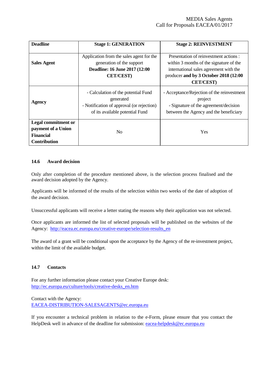| <b>Deadline</b>                                                                             | <b>Stage 1: GENERATION</b>                                                                                                       | <b>Stage 2: REINVESTMENT</b>                                                                                                                                                             |
|---------------------------------------------------------------------------------------------|----------------------------------------------------------------------------------------------------------------------------------|------------------------------------------------------------------------------------------------------------------------------------------------------------------------------------------|
| <b>Sales Agent</b>                                                                          | Application from the sales agent for the<br>generation of the support<br>Deadline: 16 June 2017 (12:00<br><b>CET/CEST)</b>       | Presentation of reinvestment actions :<br>within 3 months of the signature of the<br>international sales agreement with the<br>producer and by 3 October 2018 (12:00<br><b>CET/CEST)</b> |
| <b>Agency</b>                                                                               | - Calculation of the potential Fund<br>generated<br>- Notification of approval (or rejection)<br>of its available potential Fund | - Acceptance/Rejection of the reinvestment<br>project<br>- Signature of the agreement/decision<br>between the Agency and the beneficiary                                                 |
| <b>Legal commitment or</b><br>payment of a Union<br><b>Financial</b><br><b>Contribution</b> | N <sub>0</sub>                                                                                                                   | Yes                                                                                                                                                                                      |

#### **14.6 Award decision**

Only after completion of the procedure mentioned above, is the selection process finalised and the award decision adopted by the Agency.

Applicants will be informed of the results of the selection within two weeks of the date of adoption of the award decision.

Unsuccessful applicants will receive a letter stating the reasons why their application was not selected.

Once applicants are informed the list of selected proposals will be published on the websites of the Agency: [http://eacea.ec.europa.eu/creative-europe/selection-results\\_en](http://eacea.ec.europa.eu/creative-europe/selection-results_en)

The award of a grant will be conditional upon the acceptance by the Agency of the re-investment project, within the limit of the available budget.

## **14.7 Contacts**

For any further information please contact your Creative Europe desk: [http://ec.europa.eu/culture/tools/creative-desks\\_en.htm](http://ec.europa.eu/culture/tools/creative-desks_en.htm)

Contact with the Agency: [EACEA-DISTRIBUTION-SALESAGENTS@ec.europa.eu](mailto:EACEA-DISTRIBUTION-SALESAGENTS@ec.europa.eu)

If you encounter a technical problem in relation to the e-Form, please ensure that you contact the HelpDesk well in advance of the deadline for submission: [eacea-helpdesk@ec.europa.eu](mailto:eacea-helpdesk@ec.europa.eu)